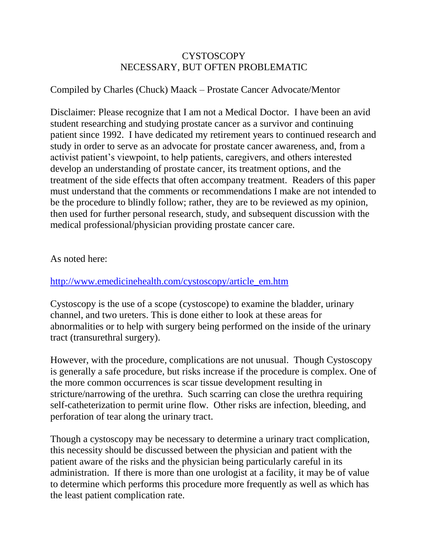## CYSTOSCOPY NECESSARY, BUT OFTEN PROBLEMATIC

## Compiled by Charles (Chuck) Maack – Prostate Cancer Advocate/Mentor

Disclaimer: Please recognize that I am not a Medical Doctor. I have been an avid student researching and studying prostate cancer as a survivor and continuing patient since 1992. I have dedicated my retirement years to continued research and study in order to serve as an advocate for prostate cancer awareness, and, from a activist patient's viewpoint, to help patients, caregivers, and others interested develop an understanding of prostate cancer, its treatment options, and the treatment of the side effects that often accompany treatment. Readers of this paper must understand that the comments or recommendations I make are not intended to be the procedure to blindly follow; rather, they are to be reviewed as my opinion, then used for further personal research, study, and subsequent discussion with the medical professional/physician providing prostate cancer care.

## As noted here:

## [http://www.emedicinehealth.com/cystoscopy/article\\_em.htm](http://www.emedicinehealth.com/cystoscopy/article_em.htm)

Cystoscopy is the use of a scope (cystoscope) to examine the bladder, urinary channel, and two ureters. This is done either to look at these areas for abnormalities or to help with surgery being performed on the inside of the urinary tract (transurethral surgery).

However, with the procedure, complications are not unusual. Though Cystoscopy is generally a safe procedure, but risks increase if the procedure is complex. One of the more common occurrences is scar tissue development resulting in stricture/narrowing of the urethra. Such scarring can close the urethra requiring self-catheterization to permit urine flow. Other risks are infection, bleeding, and perforation of tear along the urinary tract.

Though a cystoscopy may be necessary to determine a urinary tract complication, this necessity should be discussed between the physician and patient with the patient aware of the risks and the physician being particularly careful in its administration. If there is more than one urologist at a facility, it may be of value to determine which performs this procedure more frequently as well as which has the least patient complication rate.